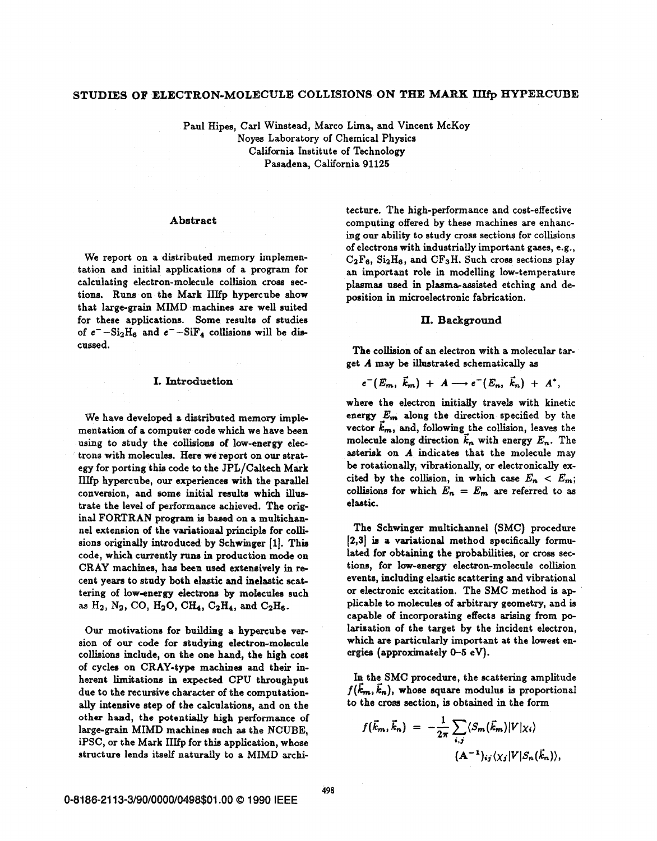# STUDIES OF ELECTRON-MOLECULE COLLISIONS ON THE MARK HIM HYPERCUBE

Paul Hipes, Carl Winstead, Marco Lima, and Vincent McKoy Noyes Laboratory of Chemical Physics California Institute of Technology Pasadena, California **91125** 

#### Abstract

We report **on** a distributed memory implementation and initial applications of a program for calculating electron-molecule collision cross sections. Runs on the Mark IIIfp hypercube show that large-grain MIMD machines are well suited for these applications. Some results of studies of  $e^-$ -Si<sub>2</sub>H<sub>6</sub> and  $e^-$ -SiF<sub>4</sub> collisions will be discussed.

## I. Introduction

We have developed a distributed memory implementation of a computer code which we have been using to study the collisions of low-energy electrons with molecules. Here we report on our strategy for porting this code to the JPL/Caltech Mark IIIfp hypercube, our experiences with the parallel conversion, and some initial results which illustrate the level of performance achieved. The original FORTRAN program is based on a multichannel extension of the variational principle for collisions originally introduced by Schwinger [1]. This code, which currently runs in production mode on CRAY machines, has been used extensively in recent years to study both elastic and inelastic scattering of low-energy electrons by molecules such as  $H_2$ , N<sub>2</sub>, CO, H<sub>2</sub>O, CH<sub>4</sub>, C<sub>2</sub>H<sub>4</sub>, and C<sub>2</sub>H<sub>6</sub>.

Our motivations for building a hypercube version **of** our code **for** studying electron-molecule collisions include, on the one hand, the high cost of cycles on CRAY-type machines and their inherent limitations in expected CPU throughput due to the recursive character of the computationally intensive step of the calculations, and **on** the other hand, the potentially high performance of large-grain MIMD machines such as the NCUBE, iPSC, or the Mark IIIfp for this application, whose structure lends itself naturally to a MIMD architecture. The high-performance and cost-effective computing offered by these machines are enhanc**our** ability **to** study cross sections for collisions of electrons with industrially important gases, e.g.,  $C_2F_6$ ,  $Si_2H_6$ , and  $CF_3H$ . Such cross sections play an important role in modelling low-temperature plasmas used in plasma-assisted etching and deposition in microelectronic fabrication.

## **II.** Background

The collision of an electron with a molecular target A may be illustrated schematically **as** 

$$
e^-(E_m, \ \vec{k}_m) + A \longrightarrow e^-(E_n, \ \vec{k}_n) + A^*,
$$

where the electron initially travels with kinetic energy  $E_m$  along the direction specified by the vector  $\bar{k}_m$ , and, following the collision, leaves the molecule along direction  $\vec{k}_n$  with energy  $E_n$ . The asterisk on A indicates that the molecule may be rotationally, vibrationally, or electronically excited by the collision, in which case  $E_n < E_m$ ; collisions for which  $E_n = E_m$  are referred to as elastic.

The Schwinger multichannel (SMC) procedure **[2,3] is a** variational method specifically formulated for obtaining the probabilities, or **cross** sections, for low-energy electron-molecule collision events, including elastic scattering and vibrational or electronic excitation. The SMC method is appiicable **to** molecules **of** arbitr capable **of** incorporating effects arising from polarisation **of** the target by the incident electron, which are particularly important at the lowest en-(approximately *0-5* eV) .

**In** the **SMC** procedure, the scattering amplitude  $f(k_m, k_n)$ , whose square modulus is proportional to the cross section, is obtained in the form

$$
f(\vec{k}_m, \vec{k}_n) = -\frac{1}{2\pi} \sum_{i,j} \langle S_m(\vec{k}_m) | V | \chi_i \rangle
$$
  

$$
(\mathbf{A}^{-1})_{ij} \langle \chi_j | V | S_n(\vec{k}_n) \rangle,
$$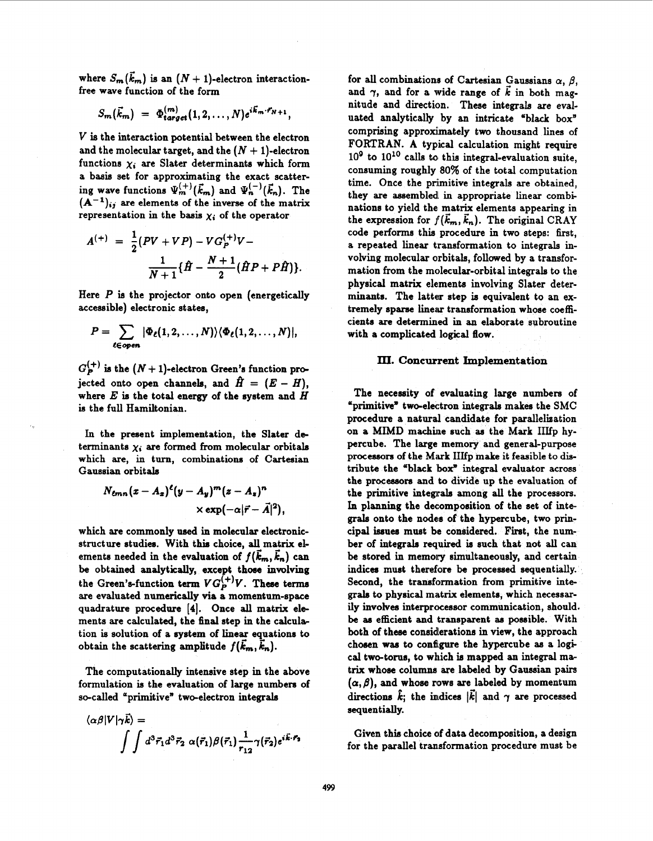where  $S_m(\vec{k}_m)$  is an  $(N + 1)$ -electron interactionfree wave function of the form

$$
S_m(\vec{k}_m) = \Phi_{target}^{(m)}(1,2,\ldots,N)e^{i\vec{k}_m\cdot\vec{r}_{N+1}},
$$

*V* is the interaction potential between the electron and the molecular target, and the  $(N + 1)$ -electron functions  $\chi_i$  are Slater determinants which form a basis set for approximating the exact scattering wave functions  $\Psi_m^{(+)}(\vec{k}_m)$  and  $\Psi_n^{(-)}(\vec{k}_n)$ . The  $(A^{-1})_{ij}$  are elements of the inverse of the matrix representation in the basis  $\chi_i$  of the operator

$$
A^{(+)} = \frac{1}{2}(PV + VP) - VG_P^{(+)}V - \frac{1}{N+1}\{\hat{H} - \frac{N+1}{2}(\hat{H}P + P\hat{H})\}.
$$

Here *P* is the projector onto open (energetically accessible) electronic states,

$$
P = \sum_{\ell \in open} |\Phi_{\ell}(1,2,\ldots,N)\rangle \langle \Phi_{\ell}(1,2,\ldots,N)|,
$$

 $G_P^{(+)}$  is the  $(N+1)$ -electron Green's function projected onto open channels, and  $\hat{H} = (E - H)$ , where E is the total energy of the system and *H*  is the full Hamiltonian.

In the present implementation, the Slater determinants  $\chi_i$  are formed from molecular orbitals which are, in turn, combinations of Cartesian Gaussian orbitals

$$
N_{\ell mn}(x-A_x)^{\ell}(y-A_y)^m(z-A_x)^n
$$
  
 
$$
\times \exp(-\alpha|\vec{r}-\vec{A}|^2),
$$

which are commonly used in molecular electronicstructure studies. With this choice, all matrix elements needed in the evaluation of  $f(\vec{k}_m, \vec{k}_n)$  can be obtained analytically, except those involving the Green's-function term  $VG_P^{(+)}V$ . These terms are evaluated numerically via a momentum-space quadrature procedure **[4].** Once all matrix elements are calculated, the final step in the calculation is solution of **a** aystem **of** linear equations to obtain the scattering amplitude  $f(\bar{k}_m, \bar{k}_n)$ .

The computationally intensive step in the above formulation is the evaluation of large numbers of so-called "primitive" two-electron integrals

 $\langle \alpha \beta | V | \gamma \vec{k} \rangle =$  $\int \int d^3\vec{r}_1 d^3\vec{r}_2 \, \alpha(\vec{r}_1) \beta(\vec{r}_1) \frac{1}{r_{12}} \gamma(\vec{r}_2) e^{i\vec{k}\cdot\vec{r}_2}$  for all combinations of Cartesian Gaussians  $\alpha$ ,  $\beta$ , and  $\gamma$ , and for a wide range of  $\vec{k}$  in both magnitude and direction. These integrals are evaluated analytically by **an** intricate 'black box" comprising approximately two thousand lines of FORTRAN. A typical calculation might require  $10<sup>9</sup>$  to  $10<sup>10</sup>$  calls to this integral-evaluation suite. consuming roughly 80% of the total computation time. Once the primitive integrals are obtained, they are assembled in appropriate linear combinations to yield the matrix elements appearing in the expression for  $f(\vec{k}_m, \vec{k}_n)$ . The original CRAY code performs this procedure in two steps: first, a repeated linear transformation to integrals involving molecular orbitals, followed by a transformation from the molecular-orbital integrals to the physical matrix elements involving Slater determinants. The latter step is equivalent to an extremely sparse linear transformation whose coefficients are determined in an elaborate subroutine with a complicated logical flow.

#### **III. Concurrent Jmplementation**

The necessity of evaluating large numbers of "primitive' two-electron integrals makes the SMC procedure a natural candidate for parallelisation **on** a **MIMD** machime such **as** the Mark IIIfp hypercube. The large memory and general-purpose processors of the Mark IIIfp make it feasible to distribute the "black **box"** integral evaluator **across**  the processors and to divide up the evaluation of the primitive integrals among all the processors. In planning the decomposition **of** the set of integrals onto the **nodes** of the hypercube, two principal issues must be considered. First, the number of integrals required is such that not all can be stored in memory simultaneously, and certain indicea must therefore be processed sequentially. Second, the transformation from primitive integrals to physical matrix elements, which necessarily involves interprocessor communication, should. be **as** efficient and transparent **aa** possible. With both of these considerations in view, the approach chosen wan to configure the hypercube **as** a logical two-torus, to which **is** mapped an integral matrix whose columna are labeled by Gaussian pairs  $(\alpha, \beta)$ , and whose rows are labeled by momentum directions  $\hat{k}$ ; the indices  $|\vec{k}|$  and  $\gamma$  are processed sequentially.

Given this choice of data decomposition, a design for the parallel transformation procedure must be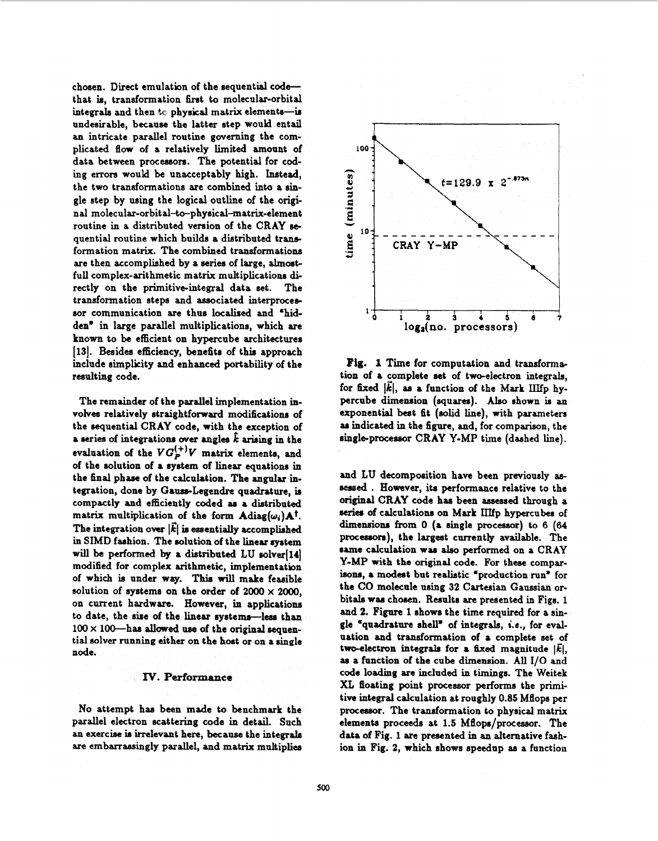chosen. Direct emulation of the sequential codethat is, transformation firat to molecular-orbital integrals and then to physical matrix elements-is undesirable, because the latter step WOUM entail **an** intricate parallel routine governing the complicated **flow** of **a** relatively limited amount of data between processors. The potential for coding errors would be unacceptably high. Instead, the two transformations are combined into a single step **by** using the logical outline of the original **molecular-orbital+o-physical-matrix-element**  routine in a distributed version of the CRAY *se*quential routine which builds a distributed transformation matrix. The combined transformations **are** then accomplished by a **series** of large, **almost**full complex-arithmetic matrix multiplications directly **on** the primitive-integral data set. The transformation steps and associated interprocessor communication are thus localised and "hidden<sup>"</sup> in large parallel multiplications, which are known to be efficient on hypercube architectures [13]. Besides efficiency, benefits of this approach include simplicity and enhanced portability of the resulting code.

The remainder of the parallel implementation involves relatively straightforward modificstiona of the sequential CRAY code, with the exception of a series of integrations over angles  $k$  arising in the evaluation of the  $VG_{\mathcal{P}}^{(+)}V$  matrix elements, and of the mlution of a system of **linear** equationa in the **final** phase of the calculation. The angular integration, done by Gauss-Legendre quadrature, is compactly and efficiently coded **aa** a distributed matrix multiplication of the form  $\text{Adiag}(\omega_i) \mathbf{A}^{\dagger}$ . The integration over  $|\vec{k}|$  is essentially accomplished in SIMD fashion. The solution of the linear system will be performed by a distributed LU solver[14] modified for complex arithmetic, implementation of which is under way. This will make feasible solution of systems on the order of  $2000 \times 2000$ , **on** current hardware. However, in applications to date, the size of the linear systems-less than **lo0 x** lOO-has **allowed** we **of** the original eequential solver running either **on** the host **or on** a single **node.** 

## IV. Performance

**No** attempt has been **made** to benchmark the parallel electron scattering code in detail. Such an exercise is irrelevant here, because the integrals are embarrassingly parallel, and matrix multiplies



Fig. **1** Time for computation and transformation of **a** complete set of two-electron integrals, for fixed  $|\vec{k}|$ , as a function of the Mark IIIfp hypercube dimension (squares). Also shown is an exponential best fit (solid **line),** with parameters **an** indicated in the **figure,** and, for comparison, the single-processor CRAY Y-MP time (dashed line).

and **LU** decomposition have been previously *ased* . However, it8 performance relative **to** the original CRAY code has been assessed through a series of calculations on Mark IIIfp hypercubes of **dimension8** from *0* **(a** single procawor) to **6 (64**  processors), the largest currently available. The **same** calculation wan **ab0** performed **on** a **CRAY**  Y-MP with the original code. For these comparisons, a modest but realistic "production run" for the *CO* molecule using **32** Cartesian Ga bitals was chosen. Results are presented in Figs. 1 and 2. Figure 1 shows the time required for a single 'quadratarc shell' of integrals, **i.e.,** for evaluation **and** tranaformation of a complete set of two-electron integrals for a fixed magnitude  $|\vec{k}|$ , **ad a** function **of** the cube dimension. All 1/0 **and**  code loading *are* included in timings. The Weitek **XL** floating point proce performs the primi**al** calculation at roughly *0.85* Mflopa per processor. The transformation to physical matrix elements proceeds at 1.5 Mflops/processor. The data **of** Fig. 1 *are* prenented in **an** alternative fauh**ion** in Fig. **2,** which shows speedup **an** a function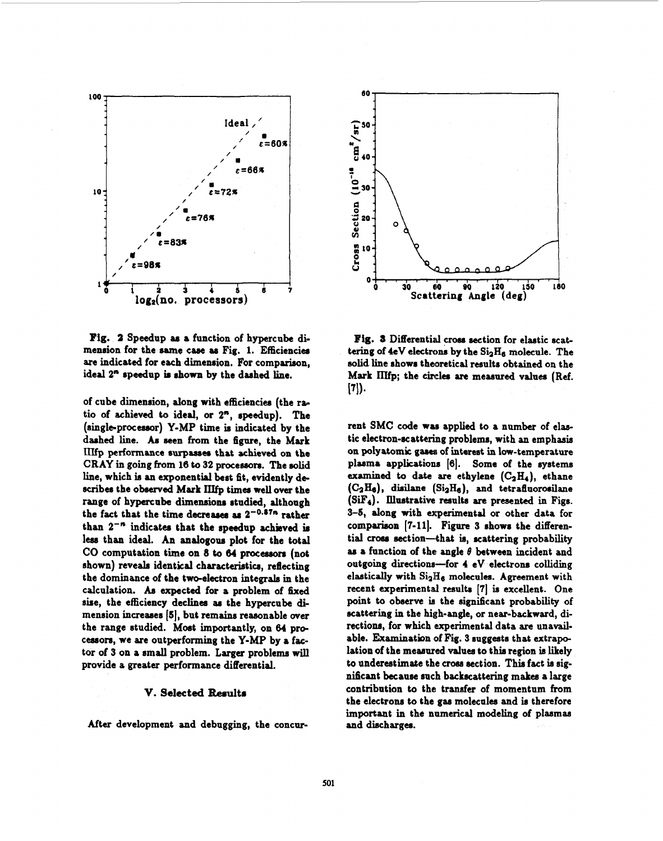

Fig. 2 Speedup as a function of hypercube dimension for the same case as Fig. 1. Efficiencies are indicated for each dimension. For comparison. ideal 2<sup>n</sup> speedup is shown by the dashed line.

of cube dimension, along with efficiencies (the ratio of achieved to ideal, or 2<sup>n</sup>, speedup). The (single-processor) Y-MP time is indicated by the dashed line. As seen from the figure, the Mark IIIfp performance surpasses that achieved on the CRAY in going from 16 to 32 processors. The solid line, which is an exponential best fit, evidently describes the observed Mark IIIfp times well over the range of hypercube dimensions studied, although the fact that the time decreases as  $2^{-0.87n}$  rather than  $2^{-n}$  indicates that the speedup achieved is less than ideal. An analogous plot for the total CO computation time on 8 to 64 processors (not shown) reveals identical characteristics, reflecting the dominance of the two-electron integrals in the calculation. As expected for a problem of fixed size, the efficiency declines as the hypercube dimension increases [5], but remains reasonable over the range studied. Most importantly, on 64 processors, we are outperforming the Y-MP by a factor of 3 on a small problem. Larger problems will provide a greater performance differential.

# V. Selected Results

After development and debugging, the concur-



Fig. 3 Differential cross section for elastic scattering of 4eV electrons by the Si<sub>2</sub>H<sub>6</sub> molecule. The solid line shows theoretical results obtained on the Mark IIIfp; the circles are measured values (Ref.  $[7]$ .

rent SMC code was applied to a number of elastic electron-scattering problems, with an emphasis on polyatomic gases of interest in low-temperature plasma applications [6]. Some of the systems examined to date are ethylene  $(C_2H_4)$ , ethane  $(C_2H_0)$ , disilane  $(Si_2H_6)$ , and tetrafluorosilane (SiF<sub>4</sub>). Illustrative results are presented in Figs. 3-5, along with experimental or other data for comparison [7-11]. Figure 3 shows the differential cross section-that is, scattering probability as a function of the angle  $\theta$  between incident and outgoing directions-for 4 eV electrons colliding elastically with Si<sub>2</sub>H<sub>6</sub> molecules. Agreement with recent experimental results [7] is excellent. One point to observe is the significant probability of scattering in the high-angle, or near-backward, directions, for which experimental data are unavailable. Examination of Fig. 3 suggests that extrapolation of the measured values to this region is likely to underestimate the cross section. This fact is significant because such backscattering makes a large contribution to the transfer of momentum from the electrons to the gas molecules and is therefore important in the numerical modeling of plasmas and discharges.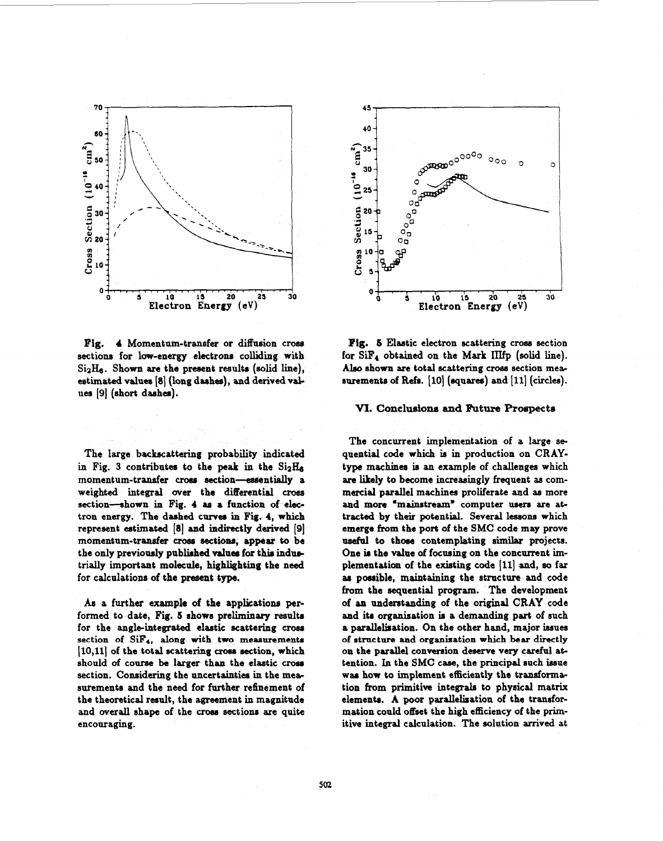

Fig. 4 Momentum-transfer or diffusion cross sections for low-energy electrons colliding with Si<sub>2</sub>H<sub>6</sub>. Shown are the present results (solid line), estimated values [8] (long dashes), and derived values [9] (short dashes).

The large backscattering probability indicated in Fig. 3 contributes to the peak in the Si2H6 momentum-transfer cross section-essentially a weighted integral over the differential cross section-shown in Fig. 4 as a function of electron energy. The dashed curves in Fig. 4, which represent estimated [8] and indirectly derived [9] momentum-transfer cross sections, appear to be the only previously published values for this industrially important molecule, highlighting the need for calculations of the present type.

As a further example of the applications performed to date, Fig. 5 shows preliminary results for the angle-integrated elastic scattering cross section of SiF<sub>4</sub>, along with two measurements [10,11] of the total scattering cross section, which should of course be larger than the elastic cross section. Considering the uncertainties in the measurements and the need for further refinement of the theoretical result, the agreement in magnitude and overall shape of the cross sections are quite encouraging.



Fig. 5 Elastic electron scattering cross section for SiF4 obtained on the Mark IIIfp (solid line). Also shown are total scattering cross section measurements of Refs. [10] (squares) and [11] (circles).

## VI. Conclusions and Future Prospects

The concurrent implementation of a large sequential code which is in production on CRAYtype machines is an example of challenges which are likely to become increasingly frequent as commercial parallel machines proliferate and as more and more "mainstream" computer users are attracted by their potential. Several lessons which emerge from the port of the SMC code may prove useful to those contemplating similar projects. One is the value of focusing on the concurrent implementation of the existing code [11] and, so far as possible, maintaining the structure and code from the sequential program. The development of an understanding of the original CRAY code and its organization is a demanding part of such a parallelisation. On the other hand, major issues of structure and organisation which bear directly on the parallel conversion deserve very careful attention. In the SMC case, the principal such issue was how to implement efficiently the transformation from primitive integrals to physical matrix elements. A poor parallelisation of the transformation could offset the high efficiency of the primitive integral calculation. The solution arrived at